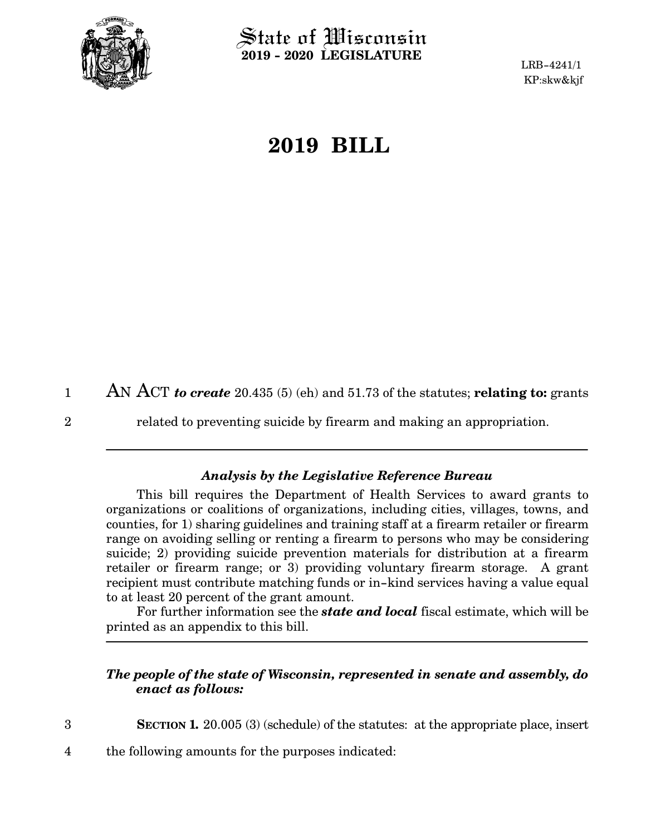

2

3

 $\operatorname{\mathsf{State}}$  of Wisconsin **2019 - 2020 LEGISLATURE**

LRB-4241/1 KP:skw&kjf

## **2019 BILL**

AN ACT *to create* 20.435 (5) (eh) and 51.73 of the statutes; **relating to:** grants 1

related to preventing suicide by firearm and making an appropriation.

## *Analysis by the Legislative Reference Bureau*

This bill requires the Department of Health Services to award grants to organizations or coalitions of organizations, including cities, villages, towns, and counties, for 1) sharing guidelines and training staff at a firearm retailer or firearm range on avoiding selling or renting a firearm to persons who may be considering suicide; 2) providing suicide prevention materials for distribution at a firearm retailer or firearm range; or 3) providing voluntary firearm storage. A grant recipient must contribute matching funds or in-kind services having a value equal to at least 20 percent of the grant amount.

For further information see the *state and local* fiscal estimate, which will be printed as an appendix to this bill.

## *The people of the state of Wisconsin, represented in senate and assembly, do enact as follows:*

**SECTION 1.** 20.005 (3) (schedule) of the statutes: at the appropriate place, insert

the following amounts for the purposes indicated: 4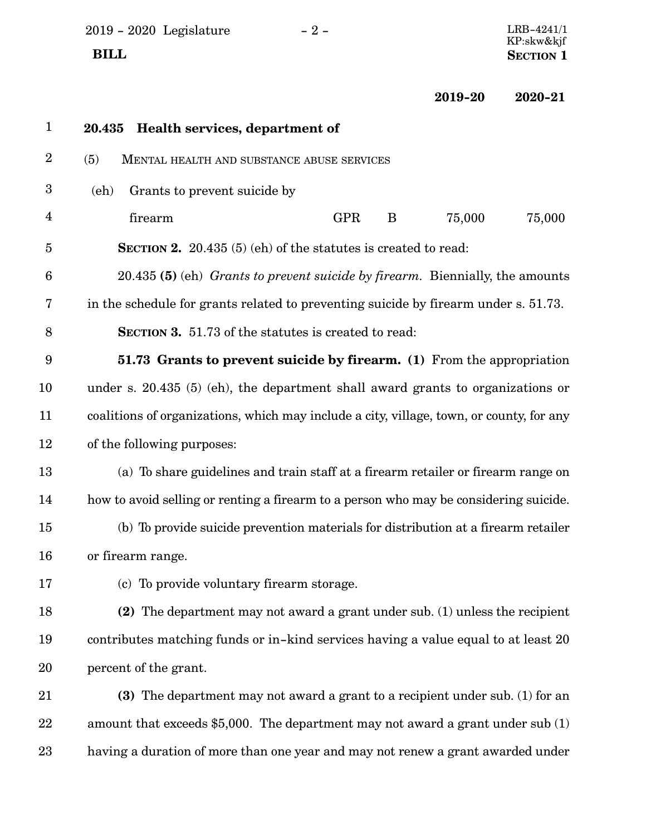2019 - 2020 Legislature - 2 -  $\,$  **BILL** SECTION 1

 $\begin{array}{c} \text{LRB-4241/1}\ \text{KP:skw\&kjf} \end{array}$ 

**2019-20 2020-21**

| $\mathbf{1}$     | Health services, department of<br>20.435                                                 |
|------------------|------------------------------------------------------------------------------------------|
| $\boldsymbol{2}$ | (5)<br>MENTAL HEALTH AND SUBSTANCE ABUSE SERVICES                                        |
| 3                | Grants to prevent suicide by<br>(eh)                                                     |
| $\overline{4}$   | 75,000<br><b>GPR</b><br>75,000<br>firearm<br>B                                           |
| $\overline{5}$   | <b>SECTION 2.</b> 20.435 (5) (eh) of the statutes is created to read:                    |
| $6\phantom{1}6$  | 20.435 (5) (eh) <i>Grants to prevent suicide by firearm</i> . Biennially, the amounts    |
| 7                | in the schedule for grants related to preventing suicide by firearm under s. 51.73.      |
| 8                | <b>SECTION 3.</b> 51.73 of the statutes is created to read:                              |
| 9                | <b>51.73 Grants to prevent suicide by firearm.</b> (1) From the appropriation            |
| 10               | under s. 20.435 (5) (eh), the department shall award grants to organizations or          |
| 11               | coalitions of organizations, which may include a city, village, town, or county, for any |
| 12               | of the following purposes:                                                               |
| 13               | (a) To share guidelines and train staff at a firearm retailer or firearm range on        |
| 14               | how to avoid selling or renting a firearm to a person who may be considering suicide.    |
| 15               | (b) To provide suicide prevention materials for distribution at a firearm retailer       |
| 16               | or firearm range.                                                                        |
| 17               | (c) To provide voluntary firearm storage.                                                |
| 18               | (2) The department may not award a grant under sub. (1) unless the recipient             |
| 19               | contributes matching funds or in-kind services having a value equal to at least 20       |
| 20               | percent of the grant.                                                                    |
| 21               | (3) The department may not award a grant to a recipient under sub. (1) for an            |
| 22               | amount that exceeds \$5,000. The department may not award a grant under sub $(1)$        |
| 23               | having a duration of more than one year and may not renew a grant awarded under          |